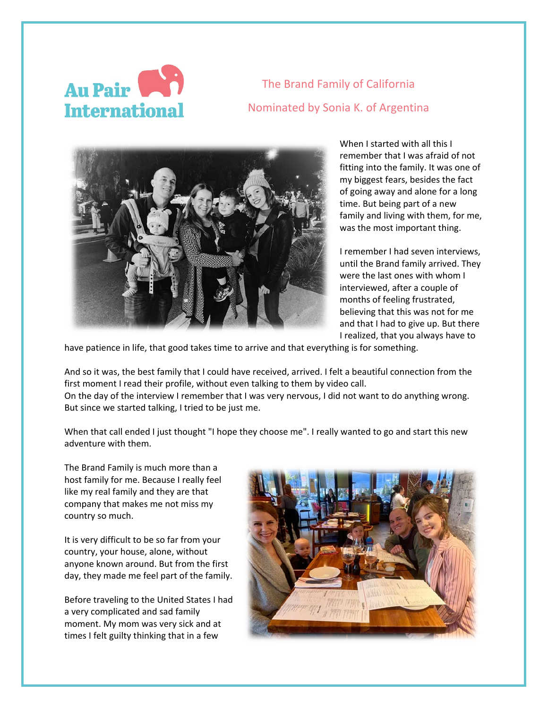

The Brand Family of California Nominated by Sonia K. of Argentina



When I started with all this I remember that I was afraid of not fitting into the family. It was one of my biggest fears, besides the fact of going away and alone for a long time. But being part of a new family and living with them, for me, was the most important thing.

I remember I had seven interviews, until the Brand family arrived. They were the last ones with whom I interviewed, after a couple of months of feeling frustrated, believing that this was not for me and that I had to give up. But there I realized, that you always have to

have patience in life, that good takes time to arrive and that everything is for something.

And so it was, the best family that I could have received, arrived. I felt a beautiful connection from the first moment I read their profile, without even talking to them by video call. On the day of the interview I remember that I was very nervous, I did not want to do anything wrong. But since we started talking, I tried to be just me.

When that call ended I just thought "I hope they choose me". I really wanted to go and start this new adventure with them.

The Brand Family is much more than a host family for me. Because I really feel like my real family and they are that company that makes me not miss my country so much.

It is very difficult to be so far from your country, your house, alone, without anyone known around. But from the first day, they made me feel part of the family.

Before traveling to the United States I had a very complicated and sad family moment. My mom was very sick and at times I felt guilty thinking that in a few